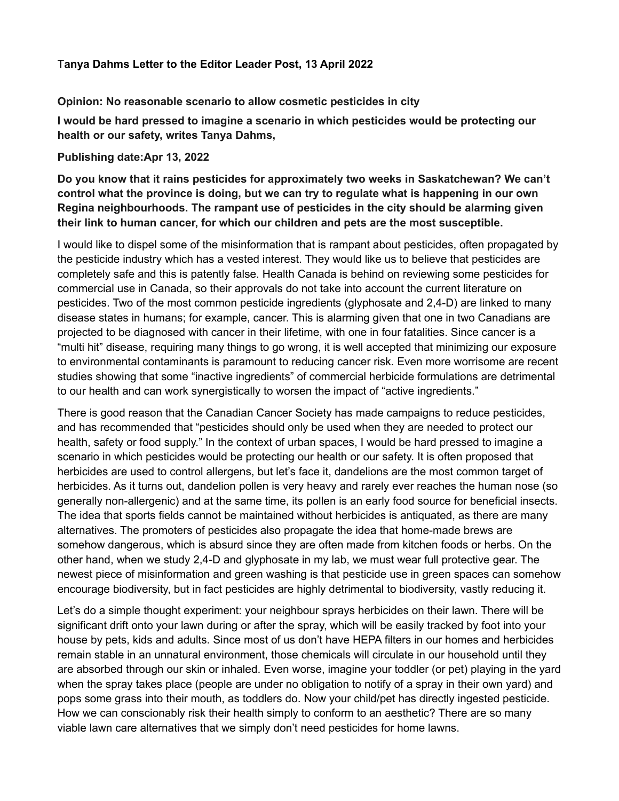## T**anya Dahms Letter to the Editor Leader Post, 13 April 2022**

## **Opinion: No reasonable scenario to allow cosmetic pesticides in city**

**I would be hard pressed to imagine a scenario in which pesticides would be protecting our health or our safety, writes Tanya Dahms,**

## **Publishing date:Apr 13, 2022**

**Do you know that it rains pesticides for approximately two weeks in Saskatchewan? We can't control what the province is doing, but we can try to regulate what is happening in our own Regina neighbourhoods. The rampant use of pesticides in the city should be alarming given their link to human cancer, for which our children and pets are the most susceptible.**

I would like to dispel some of the misinformation that is rampant about pesticides, often propagated by the pesticide industry which has a vested interest. They would like us to believe that pesticides are completely safe and this is patently false. Health Canada is behind on reviewing some pesticides for commercial use in Canada, so their approvals do not take into account the current literature on pesticides. Two of the most common pesticide ingredients (glyphosate and 2,4-D) are linked to many disease states in humans; for example, cancer. This is alarming given that one in two Canadians are projected to be diagnosed with cancer in their lifetime, with one in four fatalities. Since cancer is a "multi hit" disease, requiring many things to go wrong, it is well accepted that minimizing our exposure to environmental contaminants is paramount to reducing cancer risk. Even more worrisome are recent studies showing that some "inactive ingredients" of commercial herbicide formulations are detrimental to our health and can work synergistically to worsen the impact of "active ingredients."

There is good reason that the Canadian Cancer Society has made campaigns to reduce pesticides, and has recommended that "pesticides should only be used when they are needed to protect our health, safety or food supply." In the context of urban spaces, I would be hard pressed to imagine a scenario in which pesticides would be protecting our health or our safety. It is often proposed that herbicides are used to control allergens, but let's face it, dandelions are the most common target of herbicides. As it turns out, dandelion pollen is very heavy and rarely ever reaches the human nose (so generally non-allergenic) and at the same time, its pollen is an early food source for beneficial insects. The idea that sports fields cannot be maintained without herbicides is antiquated, as there are many alternatives. The promoters of pesticides also propagate the idea that home-made brews are somehow dangerous, which is absurd since they are often made from kitchen foods or herbs. On the other hand, when we study 2,4-D and glyphosate in my lab, we must wear full protective gear. The newest piece of misinformation and green washing is that pesticide use in green spaces can somehow encourage biodiversity, but in fact pesticides are highly detrimental to biodiversity, vastly reducing it.

Let's do a simple thought experiment: your neighbour sprays herbicides on their lawn. There will be significant drift onto your lawn during or after the spray, which will be easily tracked by foot into your house by pets, kids and adults. Since most of us don't have HEPA filters in our homes and herbicides remain stable in an unnatural environment, those chemicals will circulate in our household until they are absorbed through our skin or inhaled. Even worse, imagine your toddler (or pet) playing in the yard when the spray takes place (people are under no obligation to notify of a spray in their own yard) and pops some grass into their mouth, as toddlers do. Now your child/pet has directly ingested pesticide. How we can conscionably risk their health simply to conform to an aesthetic? There are so many viable lawn care alternatives that we simply don't need pesticides for home lawns.